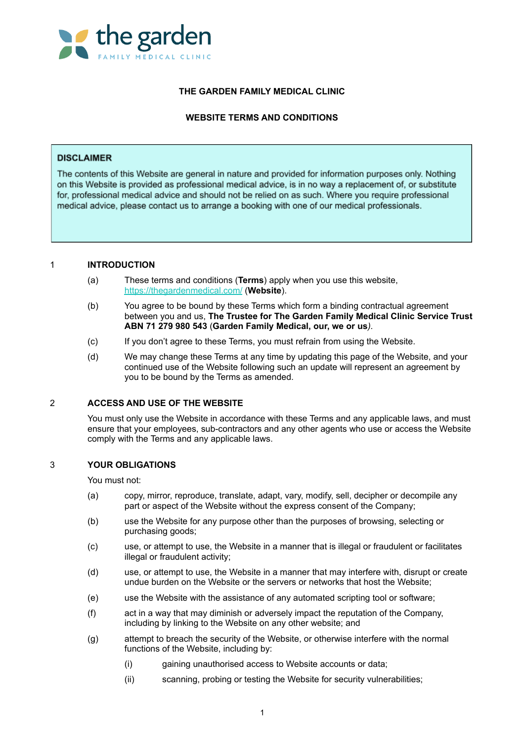

# **THE GARDEN FAMILY MEDICAL CLINIC**

# **WEBSITE TERMS AND CONDITIONS**

### **DISCLAIMER**

The contents of this Website are general in nature and provided for information purposes only. Nothing on this Website is provided as professional medical advice, is in no way a replacement of, or substitute for, professional medical advice and should not be relied on as such. Where you require professional medical advice, please contact us to arrange a booking with one of our medical professionals.

## 1 **INTRODUCTION**

- (a) These terms and conditions (**Terms**) apply when you use this website, <https://thegardenmedical.com/> (**Website**).
- (b) You agree to be bound by these Terms which form a binding contractual agreement between you and us, **The Trustee for The Garden Family Medical Clinic Service Trust ABN 71 279 980 543** (**Garden Family Medical, our, we or us***).*
- (c) If you don't agree to these Terms, you must refrain from using the Website.
- (d) We may change these Terms at any time by updating this page of the Website, and your continued use of the Website following such an update will represent an agreement by you to be bound by the Terms as amended.

#### 2 **ACCESS AND USE OF THE WEBSITE**

You must only use the Website in accordance with these Terms and any applicable laws, and must ensure that your employees, sub-contractors and any other agents who use or access the Website comply with the Terms and any applicable laws.

# 3 **YOUR OBLIGATIONS**

You must not:

- (a) copy, mirror, reproduce, translate, adapt, vary, modify, sell, decipher or decompile any part or aspect of the Website without the express consent of the Company;
- (b) use the Website for any purpose other than the purposes of browsing, selecting or purchasing goods;
- (c) use, or attempt to use, the Website in a manner that is illegal or fraudulent or facilitates illegal or fraudulent activity;
- (d) use, or attempt to use, the Website in a manner that may interfere with, disrupt or create undue burden on the Website or the servers or networks that host the Website;
- (e) use the Website with the assistance of any automated scripting tool or software;
- (f) act in a way that may diminish or adversely impact the reputation of the Company, including by linking to the Website on any other website; and
- (g) attempt to breach the security of the Website, or otherwise interfere with the normal functions of the Website, including by:
	- (i) gaining unauthorised access to Website accounts or data;
	- (ii) scanning, probing or testing the Website for security vulnerabilities;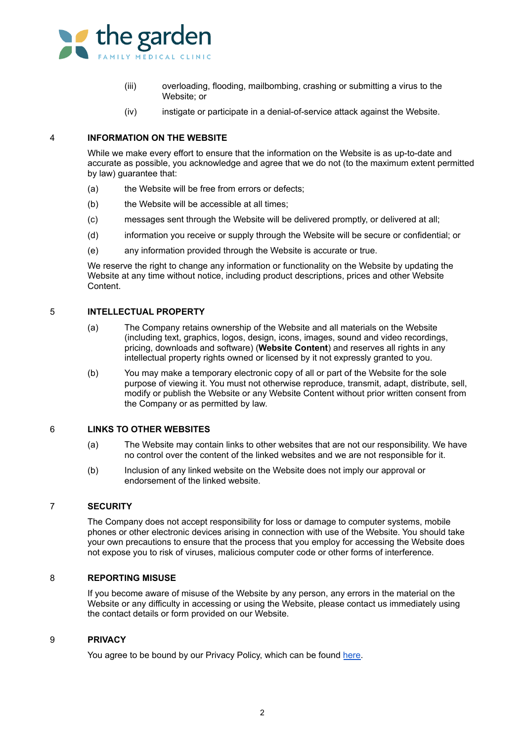

- (iii) overloading, flooding, mailbombing, crashing or submitting a virus to the Website; or
- (iv) instigate or participate in a denial-of-service attack against the Website.

## 4 **INFORMATION ON THE WEBSITE**

While we make every effort to ensure that the information on the Website is as up-to-date and accurate as possible, you acknowledge and agree that we do not (to the maximum extent permitted by law) guarantee that:

- (a) the Website will be free from errors or defects;
- (b) the Website will be accessible at all times;
- (c) messages sent through the Website will be delivered promptly, or delivered at all;
- (d) information you receive or supply through the Website will be secure or confidential; or
- (e) any information provided through the Website is accurate or true.

We reserve the right to change any information or functionality on the Website by updating the Website at any time without notice, including product descriptions, prices and other Website Content.

#### 5 **INTELLECTUAL PROPERTY**

- (a) The Company retains ownership of the Website and all materials on the Website (including text, graphics, logos, design, icons, images, sound and video recordings, pricing, downloads and software) (**Website Content**) and reserves all rights in any intellectual property rights owned or licensed by it not expressly granted to you.
- (b) You may make a temporary electronic copy of all or part of the Website for the sole purpose of viewing it. You must not otherwise reproduce, transmit, adapt, distribute, sell, modify or publish the Website or any Website Content without prior written consent from the Company or as permitted by law.

## 6 **LINKS TO OTHER WEBSITES**

- (a) The Website may contain links to other websites that are not our responsibility. We have no control over the content of the linked websites and we are not responsible for it.
- (b) Inclusion of any linked website on the Website does not imply our approval or endorsement of the linked website.

#### 7 **SECURITY**

The Company does not accept responsibility for loss or damage to computer systems, mobile phones or other electronic devices arising in connection with use of the Website. You should take your own precautions to ensure that the process that you employ for accessing the Website does not expose you to risk of viruses, malicious computer code or other forms of interference.

#### 8 **REPORTING MISUSE**

If you become aware of misuse of the Website by any person, any errors in the material on the Website or any difficulty in accessing or using the Website, please contact us immediately using the contact details or form provided on our Website.

#### 9 **PRIVACY**

You agree to be bound by our Privacy Policy, which can be found [here.](https://thegardenmedical.com/wp-content/uploads/2022/02/Privacy-Policy.pdf)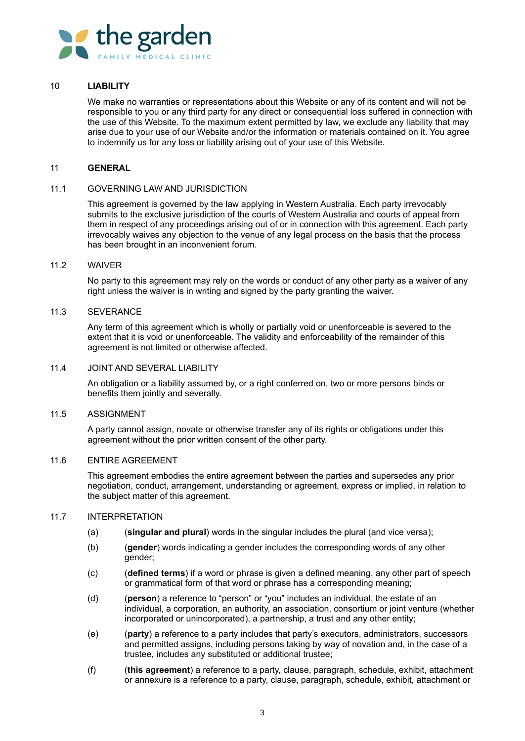

### 10 **LIABILITY**

We make no warranties or representations about this Website or any of its content and will not be responsible to you or any third party for any direct or consequential loss suffered in connection with the use of this Website. To the maximum extent permitted by law, we exclude any liability that may arise due to your use of our Website and/or the information or materials contained on it. You agree to indemnify us for any loss or liability arising out of your use of this Website.

#### 11 **GENERAL**

#### 11.1 GOVERNING LAW AND JURISDICTION

This agreement is governed by the law applying in Western Australia. Each party irrevocably submits to the exclusive jurisdiction of the courts of Western Australia and courts of appeal from them in respect of any proceedings arising out of or in connection with this agreement. Each party irrevocably waives any objection to the venue of any legal process on the basis that the process has been brought in an inconvenient forum.

# 11.2 WAIVER

No party to this agreement may rely on the words or conduct of any other party as a waiver of any right unless the waiver is in writing and signed by the party granting the waiver.

#### 11.3 SEVERANCE

Any term of this agreement which is wholly or partially void or unenforceable is severed to the extent that it is void or unenforceable. The validity and enforceability of the remainder of this agreement is not limited or otherwise affected.

#### 11.4 JOINT AND SEVERAL LIABILITY

An obligation or a liability assumed by, or a right conferred on, two or more persons binds or benefits them jointly and severally.

#### 11.5 ASSIGNMENT

A party cannot assign, novate or otherwise transfer any of its rights or obligations under this agreement without the prior written consent of the other party.

#### 11.6 ENTIRE AGREEMENT

This agreement embodies the entire agreement between the parties and supersedes any prior negotiation, conduct, arrangement, understanding or agreement, express or implied, in relation to the subject matter of this agreement.

## 11.7 INTERPRETATION

- (a) (**singular and plural**) words in the singular includes the plural (and vice versa);
- (b) (**gender**) words indicating a gender includes the corresponding words of any other gender;
- (c) (**defined terms**) if a word or phrase is given a defined meaning, any other part of speech or grammatical form of that word or phrase has a corresponding meaning;
- (d) (**person**) a reference to "person" or "you" includes an individual, the estate of an individual, a corporation, an authority, an association, consortium or joint venture (whether incorporated or unincorporated), a partnership, a trust and any other entity;
- (e) (**party**) a reference to a party includes that party's executors, administrators, successors and permitted assigns, including persons taking by way of novation and, in the case of a trustee, includes any substituted or additional trustee;
- (f) (**this agreement**) a reference to a party, clause, paragraph, schedule, exhibit, attachment or annexure is a reference to a party, clause, paragraph, schedule, exhibit, attachment or